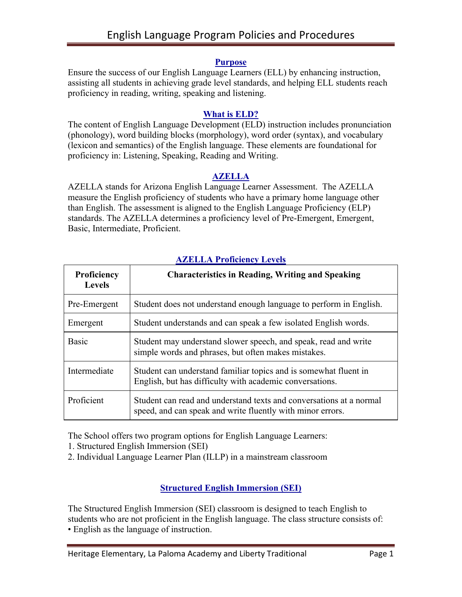### **Purpose**

Ensure the success of our English Language Learners (ELL) by enhancing instruction, assisting all students in achieving grade level standards, and helping ELL students reach proficiency in reading, writing, speaking and listening.

### **What is ELD?**

The content of English Language Development (ELD) instruction includes pronunciation (phonology), word building blocks (morphology), word order (syntax), and vocabulary (lexicon and semantics) of the English language. These elements are foundational for proficiency in: Listening, Speaking, Reading and Writing.

# **AZELLA**

AZELLA stands for Arizona English Language Learner Assessment. The AZELLA measure the English proficiency of students who have a primary home language other than English. The assessment is aligned to the English Language Proficiency (ELP) standards. The AZELLA determines a proficiency level of Pre-Emergent, Emergent, Basic, Intermediate, Proficient.

| Proficiency<br><b>Levels</b> | <b>Characteristics in Reading, Writing and Speaking</b>                                                                           |
|------------------------------|-----------------------------------------------------------------------------------------------------------------------------------|
| Pre-Emergent                 | Student does not understand enough language to perform in English.                                                                |
| Emergent                     | Student understands and can speak a few isolated English words.                                                                   |
| <b>Basic</b>                 | Student may understand slower speech, and speak, read and write<br>simple words and phrases, but often makes mistakes.            |
| Intermediate                 | Student can understand familiar topics and is somewhat fluent in<br>English, but has difficulty with academic conversations.      |
| Proficient                   | Student can read and understand texts and conversations at a normal<br>speed, and can speak and write fluently with minor errors. |

# **AZELLA Proficiency Levels**

The School offers two program options for English Language Learners:

1. Structured English Immersion (SEI)

2. Individual Language Learner Plan (ILLP) in a mainstream classroom

# **Structured English Immersion (SEI)**

The Structured English Immersion (SEI) classroom is designed to teach English to students who are not proficient in the English language. The class structure consists of: • English as the language of instruction.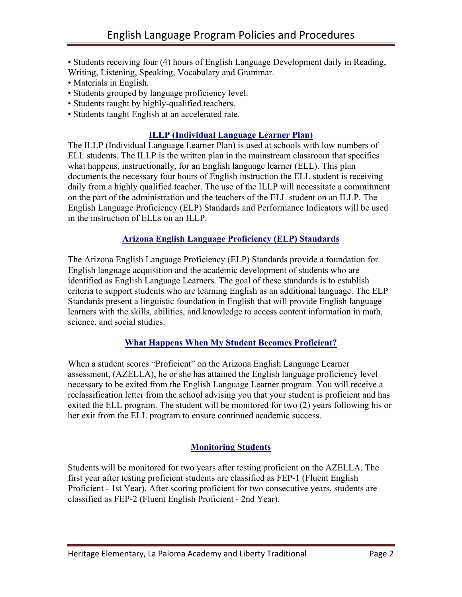• Students receiving four (4) hours of English Language Development daily in Reading, Writing, Listening, Speaking, Vocabulary and Grammar.

- Materials in English.
- Students grouped by language proficiency level.
- Students taught by highly-qualified teachers.
- Students taught English at an accelerated rate.

### **ILLP (Individual Language Learner Plan)**

The ILLP (Individual Language Learner Plan) is used at schools with low numbers of ELL students. The ILLP is the written plan in the mainstream classroom that specifies what happens, instructionally, for an English language learner (ELL). This plan documents the necessary four hours of English instruction the ELL student is receiving daily from a highly qualified teacher. The use of the ILLP will necessitate a commitment on the part of the administration and the teachers of the ELL student on an ILLP. The English Language Proficiency (ELP) Standards and Performance Indicators will be used in the instruction of ELLs on an ILLP.

# **Arizona English Language Proficiency (ELP) Standards**

The Arizona English Language Proficiency (ELP) Standards provide a foundation for English language acquisition and the academic development of students who are identified as English Language Learners. The goal of these standards is to establish criteria to support students who are learning English as an additional language. The ELP Standards present a linguistic foundation in English that will provide English language learners with the skills, abilities, and knowledge to access content information in math, science, and social studies.

#### **What Happens When My Student Becomes Proficient?**

When a student scores "Proficient" on the Arizona English Language Learner assessment, (AZELLA), he or she has attained the English language proficiency level necessary to be exited from the English Language Learner program. You will receive a reclassification letter from the school advising you that your student is proficient and has exited the ELL program. The student will be monitored for two (2) years following his or her exit from the ELL program to ensure continued academic success.

# **Monitoring Students**

Students will be monitored for two years after testing proficient on the AZELLA. The first year after testing proficient students are classified as FEP-1 (Fluent English Proficient - 1st Year). After scoring proficient for two consecutive years, students are classified as FEP-2 (Fluent English Proficient - 2nd Year).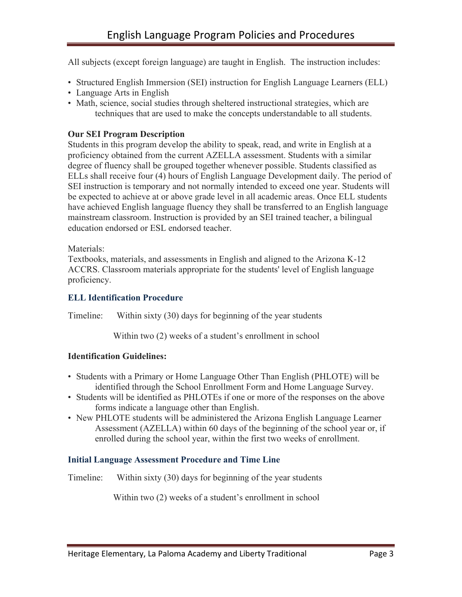All subjects (except foreign language) are taught in English. The instruction includes:

- Structured English Immersion (SEI) instruction for English Language Learners (ELL)
- Language Arts in English
- Math, science, social studies through sheltered instructional strategies, which are techniques that are used to make the concepts understandable to all students.

# **Our SEI Program Description**

Students in this program develop the ability to speak, read, and write in English at a proficiency obtained from the current AZELLA assessment. Students with a similar degree of fluency shall be grouped together whenever possible. Students classified as ELLs shall receive four (4) hours of English Language Development daily. The period of SEI instruction is temporary and not normally intended to exceed one year. Students will be expected to achieve at or above grade level in all academic areas. Once ELL students have achieved English language fluency they shall be transferred to an English language mainstream classroom. Instruction is provided by an SEI trained teacher, a bilingual education endorsed or ESL endorsed teacher.

Materials<sup>.</sup>

Textbooks, materials, and assessments in English and aligned to the Arizona K-12 ACCRS. Classroom materials appropriate for the students' level of English language proficiency.

### **ELL Identification Procedure**

Timeline: Within sixty (30) days for beginning of the year students

Within two (2) weeks of a student's enrollment in school

# **Identification Guidelines:**

- Students with a Primary or Home Language Other Than English (PHLOTE) will be identified through the School Enrollment Form and Home Language Survey.
- Students will be identified as PHLOTEs if one or more of the responses on the above forms indicate a language other than English.
- New PHLOTE students will be administered the Arizona English Language Learner Assessment (AZELLA) within 60 days of the beginning of the school year or, if enrolled during the school year, within the first two weeks of enrollment.

# **Initial Language Assessment Procedure and Time Line**

Timeline: Within sixty (30) days for beginning of the year students

Within two (2) weeks of a student's enrollment in school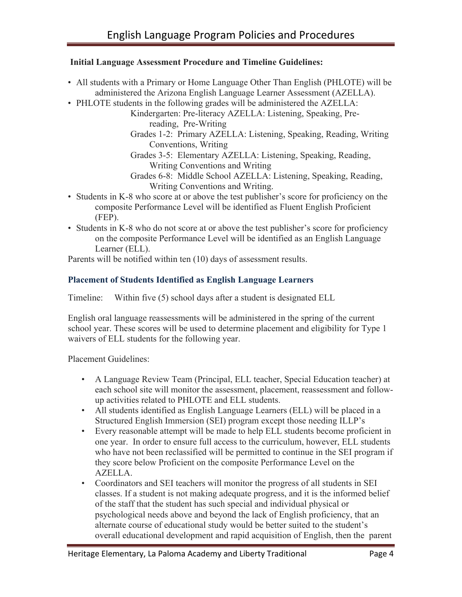# **Initial Language Assessment Procedure and Timeline Guidelines:**

- All students with a Primary or Home Language Other Than English (PHLOTE) will be administered the Arizona English Language Learner Assessment (AZELLA).
- PHLOTE students in the following grades will be administered the AZELLA:

Kindergarten: Pre-literacy AZELLA: Listening, Speaking, Prereading, Pre-Writing

Grades 1-2: Primary AZELLA: Listening, Speaking, Reading, Writing Conventions, Writing

Grades 3-5: Elementary AZELLA: Listening, Speaking, Reading, Writing Conventions and Writing

- Grades 6-8: Middle School AZELLA: Listening, Speaking, Reading, Writing Conventions and Writing.
- Students in K-8 who score at or above the test publisher's score for proficiency on the composite Performance Level will be identified as Fluent English Proficient (FEP).
- Students in K-8 who do not score at or above the test publisher's score for proficiency on the composite Performance Level will be identified as an English Language Learner (ELL).

Parents will be notified within ten (10) days of assessment results.

# **Placement of Students Identified as English Language Learners**

Timeline: Within five (5) school days after a student is designated ELL

English oral language reassessments will be administered in the spring of the current school year. These scores will be used to determine placement and eligibility for Type 1 waivers of ELL students for the following year.

Placement Guidelines:

- A Language Review Team (Principal, ELL teacher, Special Education teacher) at each school site will monitor the assessment, placement, reassessment and followup activities related to PHLOTE and ELL students.
- All students identified as English Language Learners (ELL) will be placed in a Structured English Immersion (SEI) program except those needing ILLP's
- Every reasonable attempt will be made to help ELL students become proficient in one year. In order to ensure full access to the curriculum, however, ELL students who have not been reclassified will be permitted to continue in the SEI program if they score below Proficient on the composite Performance Level on the AZELLA.
- Coordinators and SEI teachers will monitor the progress of all students in SEI classes. If a student is not making adequate progress, and it is the informed belief of the staff that the student has such special and individual physical or psychological needs above and beyond the lack of English proficiency, that an alternate course of educational study would be better suited to the student's overall educational development and rapid acquisition of English, then the parent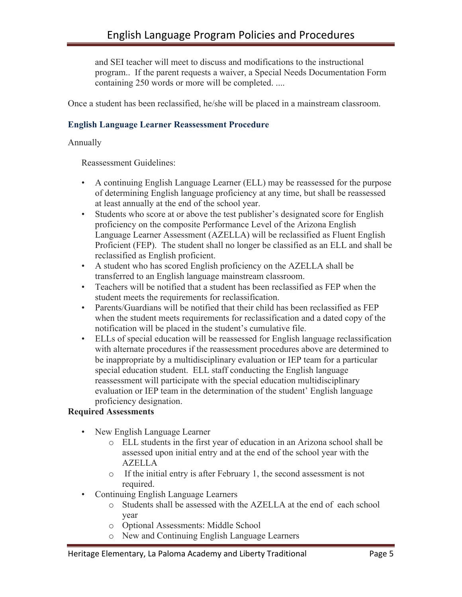and SEI teacher will meet to discuss and modifications to the instructional program.. If the parent requests a waiver, a Special Needs Documentation Form containing 250 words or more will be completed. ....

Once a student has been reclassified, he/she will be placed in a mainstream classroom.

# **English Language Learner Reassessment Procedure**

Annually

Reassessment Guidelines:

- A continuing English Language Learner (ELL) may be reassessed for the purpose of determining English language proficiency at any time, but shall be reassessed at least annually at the end of the school year.
- Students who score at or above the test publisher's designated score for English proficiency on the composite Performance Level of the Arizona English Language Learner Assessment (AZELLA) will be reclassified as Fluent English Proficient (FEP). The student shall no longer be classified as an ELL and shall be reclassified as English proficient.
- A student who has scored English proficiency on the AZELLA shall be transferred to an English language mainstream classroom.
- Teachers will be notified that a student has been reclassified as FEP when the student meets the requirements for reclassification.
- Parents/Guardians will be notified that their child has been reclassified as FEP when the student meets requirements for reclassification and a dated copy of the notification will be placed in the student's cumulative file.
- ELLs of special education will be reassessed for English language reclassification with alternate procedures if the reassessment procedures above are determined to be inappropriate by a multidisciplinary evaluation or IEP team for a particular special education student. ELL staff conducting the English language reassessment will participate with the special education multidisciplinary evaluation or IEP team in the determination of the student' English language proficiency designation.

# **Required Assessments**

- New English Language Learner
	- o ELL students in the first year of education in an Arizona school shall be assessed upon initial entry and at the end of the school year with the AZELLA
	- o If the initial entry is after February 1, the second assessment is not required.
- Continuing English Language Learners
	- o Students shall be assessed with the AZELLA at the end of each school year
	- o Optional Assessments: Middle School
	- o New and Continuing English Language Learners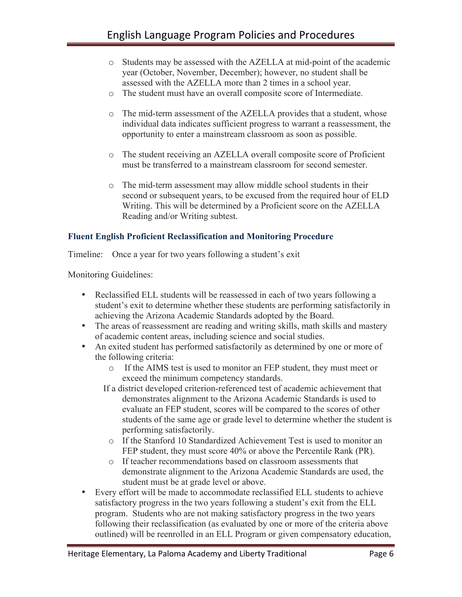- o Students may be assessed with the AZELLA at mid-point of the academic year (October, November, December); however, no student shall be assessed with the AZELLA more than 2 times in a school year.
- o The student must have an overall composite score of Intermediate.
- o The mid-term assessment of the AZELLA provides that a student, whose individual data indicates sufficient progress to warrant a reassessment, the opportunity to enter a mainstream classroom as soon as possible.
- o The student receiving an AZELLA overall composite score of Proficient must be transferred to a mainstream classroom for second semester.
- o The mid-term assessment may allow middle school students in their second or subsequent years, to be excused from the required hour of ELD Writing. This will be determined by a Proficient score on the AZELLA Reading and/or Writing subtest.

# **Fluent English Proficient Reclassification and Monitoring Procedure**

Timeline: Once a year for two years following a student's exit

Monitoring Guidelines:

- Reclassified ELL students will be reassessed in each of two years following a student's exit to determine whether these students are performing satisfactorily in achieving the Arizona Academic Standards adopted by the Board.
- The areas of reassessment are reading and writing skills, math skills and mastery of academic content areas, including science and social studies.
- An exited student has performed satisfactorily as determined by one or more of the following criteria:
	- o If the AIMS test is used to monitor an FEP student, they must meet or exceed the minimum competency standards.
	- If a district developed criterion-referenced test of academic achievement that demonstrates alignment to the Arizona Academic Standards is used to evaluate an FEP student, scores will be compared to the scores of other students of the same age or grade level to determine whether the student is performing satisfactorily.
		- o If the Stanford 10 Standardized Achievement Test is used to monitor an FEP student, they must score 40% or above the Percentile Rank (PR).
		- o If teacher recommendations based on classroom assessments that demonstrate alignment to the Arizona Academic Standards are used, the student must be at grade level or above.
- Every effort will be made to accommodate reclassified ELL students to achieve satisfactory progress in the two years following a student's exit from the ELL program. Students who are not making satisfactory progress in the two years following their reclassification (as evaluated by one or more of the criteria above outlined) will be reenrolled in an ELL Program or given compensatory education,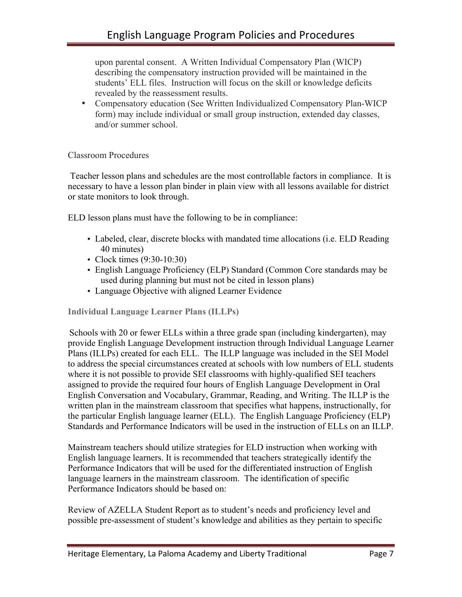upon parental consent. A Written Individual Compensatory Plan (WICP) describing the compensatory instruction provided will be maintained in the students' ELL files. Instruction will focus on the skill or knowledge deficits revealed by the reassessment results.

• Compensatory education (See Written Individualized Compensatory Plan-WICP form) may include individual or small group instruction, extended day classes, and/or summer school.

# Classroom Procedures

Teacher lesson plans and schedules are the most controllable factors in compliance. It is necessary to have a lesson plan binder in plain view with all lessons available for district or state monitors to look through.

ELD lesson plans must have the following to be in compliance:

- Labeled, clear, discrete blocks with mandated time allocations (i.e. ELD Reading 40 minutes)
- Clock times (9:30-10:30)
- English Language Proficiency (ELP) Standard (Common Core standards may be used during planning but must not be cited in lesson plans)
- Language Objective with aligned Learner Evidence

**Individual Language Learner Plans (ILLPs)** 

Schools with 20 or fewer ELLs within a three grade span (including kindergarten), may provide English Language Development instruction through Individual Language Learner Plans (ILLPs) created for each ELL. The ILLP language was included in the SEI Model to address the special circumstances created at schools with low numbers of ELL students where it is not possible to provide SEI classrooms with highly-qualified SEI teachers assigned to provide the required four hours of English Language Development in Oral English Conversation and Vocabulary, Grammar, Reading, and Writing. The ILLP is the written plan in the mainstream classroom that specifies what happens, instructionally, for the particular English language learner (ELL). The English Language Proficiency (ELP) Standards and Performance Indicators will be used in the instruction of ELLs on an ILLP.

Mainstream teachers should utilize strategies for ELD instruction when working with English language learners. It is recommended that teachers strategically identify the Performance Indicators that will be used for the differentiated instruction of English language learners in the mainstream classroom. The identification of specific Performance Indicators should be based on:

Review of AZELLA Student Report as to student's needs and proficiency level and possible pre-assessment of student's knowledge and abilities as they pertain to specific